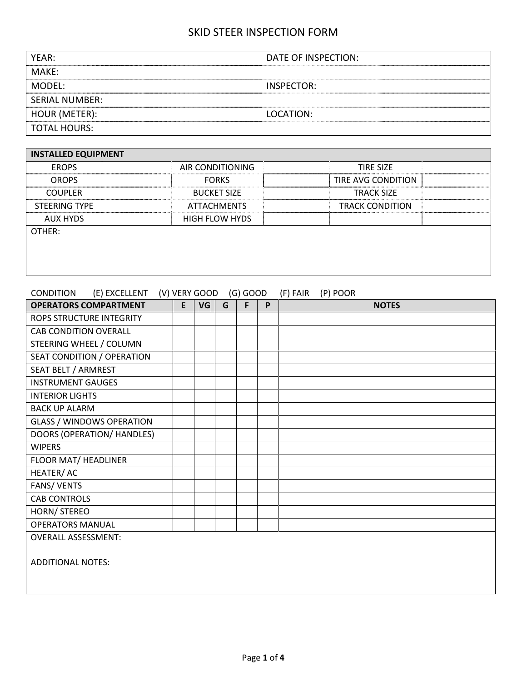| YEAR:                 | DATE OF INSPECTION: |
|-----------------------|---------------------|
| MAKF:                 |                     |
| MODFL:                | INSPECTOR:          |
| <b>SERIAL NUMBER:</b> |                     |
| HOUR (METER):         | LOCATION:           |
| <b>TOTAL HOURS:</b>   |                     |

| <b>INSTALLED EQUIPMENT</b> |                       |                        |
|----------------------------|-----------------------|------------------------|
| <b>EROPS</b>               | AIR CONDITIONING      | <b>TIRE SIZE</b>       |
| <b>OROPS</b>               | <b>FORKS</b>          | TIRE AVG CONDITION     |
| <b>COUPLER</b>             | <b>BUCKET SIZE</b>    | <b>TRACK SIZE</b>      |
| <b>STEERING TYPE</b>       | <b>ATTACHMENTS</b>    | <b>TRACK CONDITION</b> |
| AUX HYDS                   | <b>HIGH FLOW HYDS</b> |                        |
| OTHER:                     |                       |                        |
|                            |                       |                        |
|                            |                       |                        |
|                            |                       |                        |

# CONDITION (E) EXCELLENT (V) VERY GOOD (G) GOOD (F) FAIR (P) POOR

| <b>OPERATORS COMPARTMENT</b>     | E | VG | G | F | P | <b>NOTES</b> |
|----------------------------------|---|----|---|---|---|--------------|
| <b>ROPS STRUCTURE INTEGRITY</b>  |   |    |   |   |   |              |
| <b>CAB CONDITION OVERALL</b>     |   |    |   |   |   |              |
| STEERING WHEEL / COLUMN          |   |    |   |   |   |              |
| SEAT CONDITION / OPERATION       |   |    |   |   |   |              |
| SEAT BELT / ARMREST              |   |    |   |   |   |              |
| <b>INSTRUMENT GAUGES</b>         |   |    |   |   |   |              |
| <b>INTERIOR LIGHTS</b>           |   |    |   |   |   |              |
| <b>BACK UP ALARM</b>             |   |    |   |   |   |              |
| <b>GLASS / WINDOWS OPERATION</b> |   |    |   |   |   |              |
| DOORS (OPERATION/ HANDLES)       |   |    |   |   |   |              |
| <b>WIPERS</b>                    |   |    |   |   |   |              |
| <b>FLOOR MAT/ HEADLINER</b>      |   |    |   |   |   |              |
| HEATER/AC                        |   |    |   |   |   |              |
| <b>FANS/ VENTS</b>               |   |    |   |   |   |              |
| <b>CAB CONTROLS</b>              |   |    |   |   |   |              |
| HORN/ STEREO                     |   |    |   |   |   |              |
| <b>OPERATORS MANUAL</b>          |   |    |   |   |   |              |
| <b>OVERALL ASSESSMENT:</b>       |   |    |   |   |   |              |
| <b>ADDITIONAL NOTES:</b>         |   |    |   |   |   |              |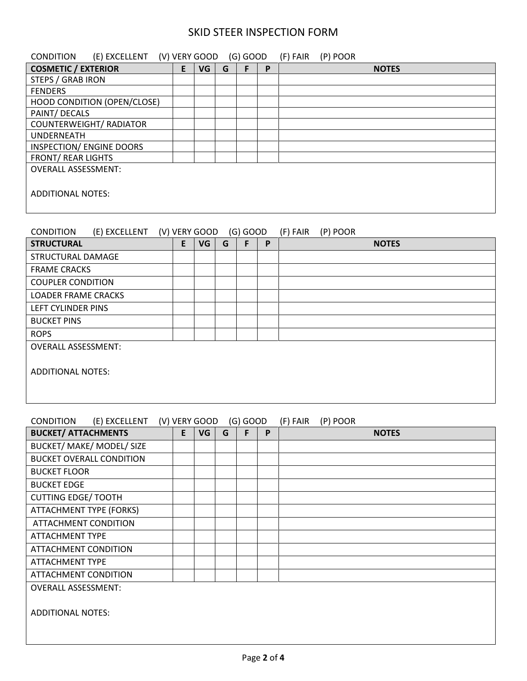| (E) EXCELLENT (V) VERY GOOD (G) GOOD<br>CONDITION |   |               |   |            |              | (F) FAIR<br>(P) POOR |  |  |  |  |  |
|---------------------------------------------------|---|---------------|---|------------|--------------|----------------------|--|--|--|--|--|
| <b>COSMETIC / EXTERIOR</b>                        | E | VG            | G | F          | $\mathsf{P}$ | <b>NOTES</b>         |  |  |  |  |  |
| <b>STEPS / GRAB IRON</b>                          |   |               |   |            |              |                      |  |  |  |  |  |
| <b>FENDERS</b>                                    |   |               |   |            |              |                      |  |  |  |  |  |
| <b>HOOD CONDITION (OPEN/CLOSE)</b>                |   |               |   |            |              |                      |  |  |  |  |  |
| PAINT/ DECALS                                     |   |               |   |            |              |                      |  |  |  |  |  |
| <b>COUNTERWEIGHT/ RADIATOR</b>                    |   |               |   |            |              |                      |  |  |  |  |  |
| <b>UNDERNEATH</b>                                 |   |               |   |            |              |                      |  |  |  |  |  |
| <b>INSPECTION/ ENGINE DOORS</b>                   |   |               |   |            |              |                      |  |  |  |  |  |
| <b>FRONT/ REAR LIGHTS</b>                         |   |               |   |            |              |                      |  |  |  |  |  |
| <b>OVERALL ASSESSMENT:</b>                        |   |               |   |            |              |                      |  |  |  |  |  |
| <b>ADDITIONAL NOTES:</b>                          |   |               |   |            |              |                      |  |  |  |  |  |
|                                                   |   |               |   |            |              |                      |  |  |  |  |  |
|                                                   |   |               |   |            |              |                      |  |  |  |  |  |
| <b>CONDITION</b><br>(E) EXCELLENT                 |   | (V) VERY GOOD |   | $(G)$ GOOD |              | (F) FAIR<br>(P) POOR |  |  |  |  |  |
| <b>STRUCTURAL</b>                                 | E | VG            | G | F          | P            | <b>NOTES</b>         |  |  |  |  |  |
| <b>STRUCTURAL DAMAGE</b>                          |   |               |   |            |              |                      |  |  |  |  |  |
| <b>FRAME CRACKS</b>                               |   |               |   |            |              |                      |  |  |  |  |  |
| <b>COUPLER CONDITION</b>                          |   |               |   |            |              |                      |  |  |  |  |  |
| <b>LOADER FRAME CRACKS</b>                        |   |               |   |            |              |                      |  |  |  |  |  |
| LEFT CYLINDER PINS                                |   |               |   |            |              |                      |  |  |  |  |  |
| <b>BUCKET PINS</b>                                |   |               |   |            |              |                      |  |  |  |  |  |
| <b>ROPS</b>                                       |   |               |   |            |              |                      |  |  |  |  |  |
| <b>OVERALL ASSESSMENT:</b>                        |   |               |   |            |              |                      |  |  |  |  |  |

#### CONDITION (E) EXCELLENT (V) VERY GOOD (G) GOOD (F) FAIR (P) POOR

| <b>BUCKET/ ATTACHMENTS</b>      | E | VG | G | F | P | <b>NOTES</b> |
|---------------------------------|---|----|---|---|---|--------------|
| BUCKET/ MAKE/ MODEL/ SIZE       |   |    |   |   |   |              |
| <b>BUCKET OVERALL CONDITION</b> |   |    |   |   |   |              |
| <b>BUCKET FLOOR</b>             |   |    |   |   |   |              |
| <b>BUCKET EDGE</b>              |   |    |   |   |   |              |
| <b>CUTTING EDGE/ TOOTH</b>      |   |    |   |   |   |              |
| <b>ATTACHMENT TYPE (FORKS)</b>  |   |    |   |   |   |              |
| <b>ATTACHMENT CONDITION</b>     |   |    |   |   |   |              |
| <b>ATTACHMENT TYPE</b>          |   |    |   |   |   |              |
| <b>ATTACHMENT CONDITION</b>     |   |    |   |   |   |              |
| <b>ATTACHMENT TYPE</b>          |   |    |   |   |   |              |
| <b>ATTACHMENT CONDITION</b>     |   |    |   |   |   |              |
| <b>OVERALL ASSESSMENT:</b>      |   |    |   |   |   |              |
|                                 |   |    |   |   |   |              |
| <b>ADDITIONAL NOTES:</b>        |   |    |   |   |   |              |
|                                 |   |    |   |   |   |              |
|                                 |   |    |   |   |   |              |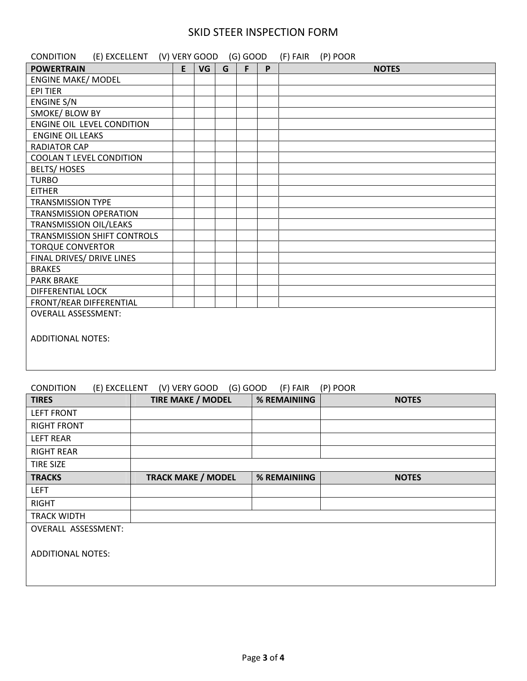| (E) EXCELLENT (V) VERY GOOD (G) GOOD<br><b>CONDITION</b> |    |    |   |   |   | (F) FAIR | (P) POOR |              |
|----------------------------------------------------------|----|----|---|---|---|----------|----------|--------------|
| <b>POWERTRAIN</b>                                        | E. | VG | G | F | P |          |          | <b>NOTES</b> |
| <b>ENGINE MAKE/ MODEL</b>                                |    |    |   |   |   |          |          |              |
| <b>EPI TIER</b>                                          |    |    |   |   |   |          |          |              |
| ENGINE S/N                                               |    |    |   |   |   |          |          |              |
| SMOKE/ BLOW BY                                           |    |    |   |   |   |          |          |              |
| ENGINE OIL LEVEL CONDITION                               |    |    |   |   |   |          |          |              |
| <b>ENGINE OIL LEAKS</b>                                  |    |    |   |   |   |          |          |              |
| <b>RADIATOR CAP</b>                                      |    |    |   |   |   |          |          |              |
| COOLAN T LEVEL CONDITION                                 |    |    |   |   |   |          |          |              |
| <b>BELTS/HOSES</b>                                       |    |    |   |   |   |          |          |              |
| <b>TURBO</b>                                             |    |    |   |   |   |          |          |              |
| <b>EITHER</b>                                            |    |    |   |   |   |          |          |              |
| <b>TRANSMISSION TYPE</b>                                 |    |    |   |   |   |          |          |              |
| <b>TRANSMISSION OPERATION</b>                            |    |    |   |   |   |          |          |              |
| TRANSMISSION OIL/LEAKS                                   |    |    |   |   |   |          |          |              |
| <b>TRANSMISSION SHIFT CONTROLS</b>                       |    |    |   |   |   |          |          |              |
| <b>TORQUE CONVERTOR</b>                                  |    |    |   |   |   |          |          |              |
| FINAL DRIVES/ DRIVE LINES                                |    |    |   |   |   |          |          |              |
| <b>BRAKES</b>                                            |    |    |   |   |   |          |          |              |
| <b>PARK BRAKE</b>                                        |    |    |   |   |   |          |          |              |
| <b>DIFFERENTIAL LOCK</b>                                 |    |    |   |   |   |          |          |              |
| FRONT/REAR DIFFERENTIAL                                  |    |    |   |   |   |          |          |              |
| <b>OVERALL ASSESSMENT:</b>                               |    |    |   |   |   |          |          |              |
|                                                          |    |    |   |   |   |          |          |              |
| <b>ADDITIONAL NOTES:</b>                                 |    |    |   |   |   |          |          |              |
|                                                          |    |    |   |   |   |          |          |              |
|                                                          |    |    |   |   |   |          |          |              |
|                                                          |    |    |   |   |   |          |          |              |

#### CONDITION (E) EXCELLENT (V) VERY GOOD (G) GOOD (F) FAIR (P) POOR

| <b>TIRES</b>               | <b>TIRE MAKE / MODEL</b>  | % REMAINIING | <b>NOTES</b> |
|----------------------------|---------------------------|--------------|--------------|
| <b>LEFT FRONT</b>          |                           |              |              |
| <b>RIGHT FRONT</b>         |                           |              |              |
| <b>LEFT REAR</b>           |                           |              |              |
| <b>RIGHT REAR</b>          |                           |              |              |
| <b>TIRE SIZE</b>           |                           |              |              |
| <b>TRACKS</b>              | <b>TRACK MAKE / MODEL</b> | % REMAINIING | <b>NOTES</b> |
| <b>LEFT</b>                |                           |              |              |
| <b>RIGHT</b>               |                           |              |              |
| <b>TRACK WIDTH</b>         |                           |              |              |
| <b>OVERALL ASSESSMENT:</b> |                           |              |              |
|                            |                           |              |              |
| <b>ADDITIONAL NOTES:</b>   |                           |              |              |
|                            |                           |              |              |
|                            |                           |              |              |